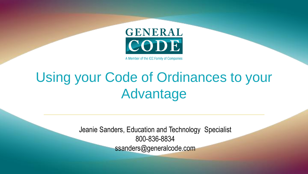

A Member of the ICC Family of Companies

#### Using your Code of Ordinances to your Advantage

Jeanie Sanders, Education and Technology Specialist 800-836-8834 ssanders@generalcode.com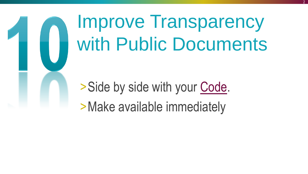#### Improve Transparency with Public Documents

> Side by side with your [Code](https://ecode360.com/XX9100). >Make available immediately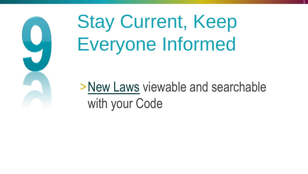

#### Stay Current, Keep Everyone Informed

[>New Laws](https://ecode360.com/BE0790) viewable and searchable with your Code

3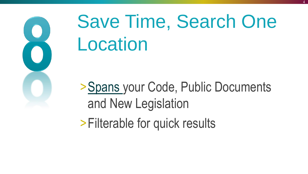

## Save Time, Search One Location

4

[>Spans](https://ecode360.com/EA2109) your Code, Public Documents and New Legislation >Filterable for quick results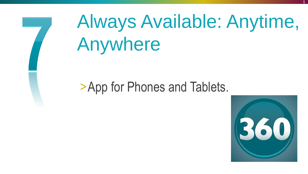

# Always Available: Anytime, Anywhere

#### >App for Phones and Tablets.

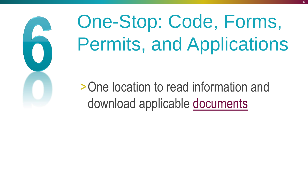

# One-Stop: Code, Forms, Permits, and Applications

>One location to read information and download applicable [documents](https://ecode360.com/27597829)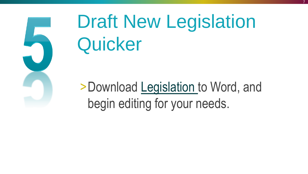

#### Draft New Legislation **Quicker**

7

>Download [Legislation t](https://ecode360.com/CU3602)o Word, and begin editing for your needs.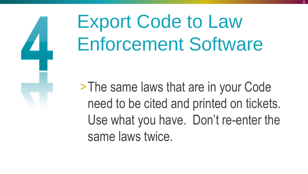

## Export Code to Law Enforcement Software

>The same laws that are in your Code need to be cited and printed on tickets. Use what you have. Don't re-enter the same laws twice.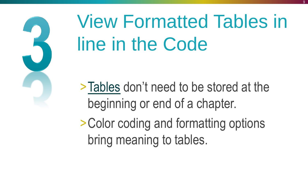

## View Formatted Tables in line in the Code

[>Tables](https://ecode360.com/29302159Z) don't need to be stored at the beginning or end of a chapter.

>Color coding and formatting options bring meaning to tables.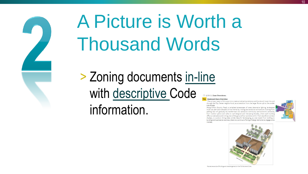

#### A Picture is Worth a Thousand Words

> Zoning documents [in-line](https://ecode360.com/29066716) with [descriptive C](https://ecode360.com/6715108)ode information.

□ §326-3.1 Zone Overviews.

#### **Boulevard Zone Overview**

The primary intent of this zone is to create an attractive entrance and boulevard route into and through the City Center neighborhood, as a transition from the larger Route 146 to the smaller side streets

Along Clifton Country Road, a revitalized streetscape of trees, decorative lighting, landscaped multi-use path and sidewalks will be framed by inviting and attractive architecture. Existing fror parking lots will gradually be transformed into attractive community and economic amenities, from outdoor patios and cafes to well-designed and interesting facades, where each building offers an attractive and inviting view of the ground-floor activities within. From storefront window displays, to outdoor dining areas amidst beautiful landscaping, as one travels from building to building and business to business, there is a continual offering of design elements to engage one's interest.